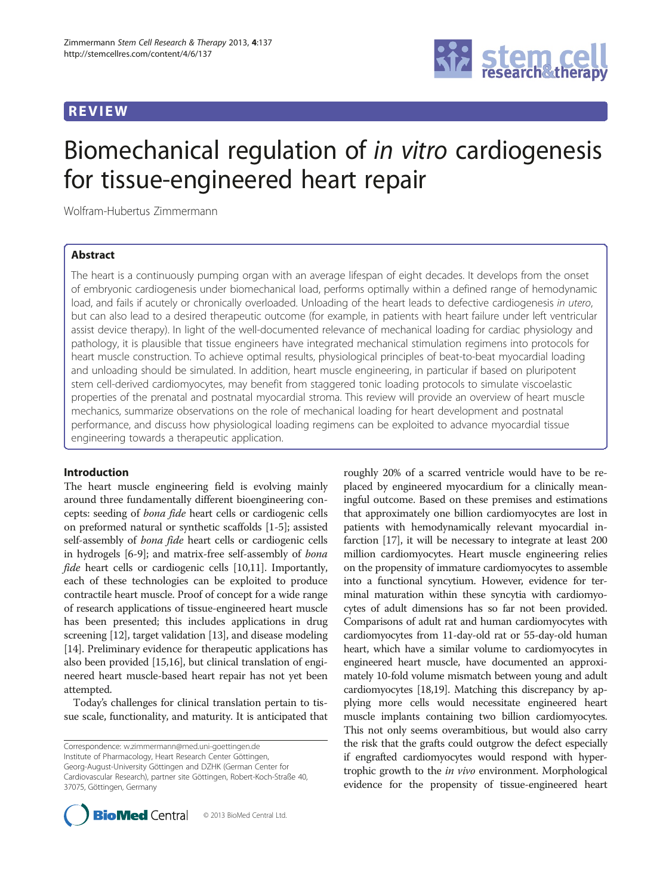## REVIEW



# Biomechanical regulation of in vitro cardiogenesis for tissue-engineered heart repair

Wolfram-Hubertus Zimmermann

## Abstract

The heart is a continuously pumping organ with an average lifespan of eight decades. It develops from the onset of embryonic cardiogenesis under biomechanical load, performs optimally within a defined range of hemodynamic load, and fails if acutely or chronically overloaded. Unloading of the heart leads to defective cardiogenesis in utero, but can also lead to a desired therapeutic outcome (for example, in patients with heart failure under left ventricular assist device therapy). In light of the well-documented relevance of mechanical loading for cardiac physiology and pathology, it is plausible that tissue engineers have integrated mechanical stimulation regimens into protocols for heart muscle construction. To achieve optimal results, physiological principles of beat-to-beat myocardial loading and unloading should be simulated. In addition, heart muscle engineering, in particular if based on pluripotent stem cell-derived cardiomyocytes, may benefit from staggered tonic loading protocols to simulate viscoelastic properties of the prenatal and postnatal myocardial stroma. This review will provide an overview of heart muscle mechanics, summarize observations on the role of mechanical loading for heart development and postnatal performance, and discuss how physiological loading regimens can be exploited to advance myocardial tissue engineering towards a therapeutic application.

### Introduction

The heart muscle engineering field is evolving mainly around three fundamentally different bioengineering concepts: seeding of bona fide heart cells or cardiogenic cells on preformed natural or synthetic scaffolds [\[1](#page-5-0)-[5\]](#page-5-0); assisted self-assembly of bona fide heart cells or cardiogenic cells in hydrogels [\[6](#page-5-0)-[9\]](#page-5-0); and matrix-free self-assembly of bona fide heart cells or cardiogenic cells [\[10,11](#page-5-0)]. Importantly, each of these technologies can be exploited to produce contractile heart muscle. Proof of concept for a wide range of research applications of tissue-engineered heart muscle has been presented; this includes applications in drug screening [\[12\]](#page-5-0), target validation [[13](#page-5-0)], and disease modeling [[14](#page-5-0)]. Preliminary evidence for therapeutic applications has also been provided [[15,16](#page-5-0)], but clinical translation of engineered heart muscle-based heart repair has not yet been attempted.

Today's challenges for clinical translation pertain to tissue scale, functionality, and maturity. It is anticipated that

Correspondence: [w.zimmermann@med.uni-goettingen.de](mailto:w.zimmermann@med.uni-goettingen.de) Institute of Pharmacology, Heart Research Center Göttingen, Georg-August-University Göttingen and DZHK (German Center for Cardiovascular Research), partner site Göttingen, Robert-Koch-Straße 40, 37075, Göttingen, Germany



roughly 20% of a scarred ventricle would have to be replaced by engineered myocardium for a clinically meaningful outcome. Based on these premises and estimations that approximately one billion cardiomyocytes are lost in patients with hemodynamically relevant myocardial infarction [\[17\]](#page-5-0), it will be necessary to integrate at least 200 million cardiomyocytes. Heart muscle engineering relies on the propensity of immature cardiomyocytes to assemble into a functional syncytium. However, evidence for terminal maturation within these syncytia with cardiomyocytes of adult dimensions has so far not been provided. Comparisons of adult rat and human cardiomyocytes with cardiomyocytes from 11-day-old rat or 55-day-old human heart, which have a similar volume to cardiomyocytes in engineered heart muscle, have documented an approximately 10-fold volume mismatch between young and adult cardiomyocytes [[18](#page-5-0)[,19\]](#page-6-0). Matching this discrepancy by applying more cells would necessitate engineered heart muscle implants containing two billion cardiomyocytes. This not only seems overambitious, but would also carry the risk that the grafts could outgrow the defect especially if engrafted cardiomyocytes would respond with hypertrophic growth to the in vivo environment. Morphological evidence for the propensity of tissue-engineered heart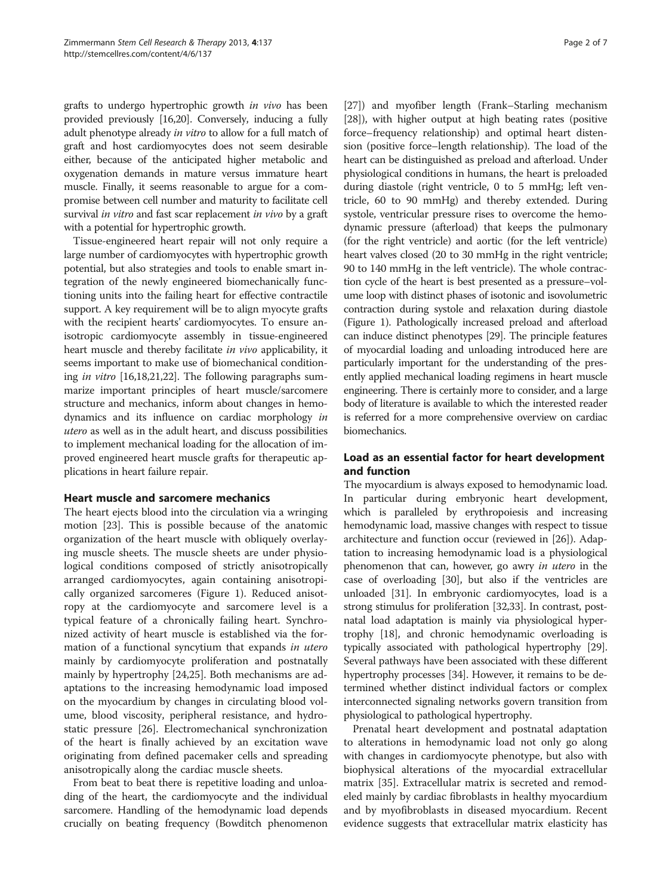grafts to undergo hypertrophic growth in vivo has been provided previously [\[16,](#page-5-0)[20](#page-6-0)]. Conversely, inducing a fully adult phenotype already in vitro to allow for a full match of graft and host cardiomyocytes does not seem desirable either, because of the anticipated higher metabolic and oxygenation demands in mature versus immature heart muscle. Finally, it seems reasonable to argue for a compromise between cell number and maturity to facilitate cell survival in vitro and fast scar replacement in vivo by a graft with a potential for hypertrophic growth.

Tissue-engineered heart repair will not only require a large number of cardiomyocytes with hypertrophic growth potential, but also strategies and tools to enable smart integration of the newly engineered biomechanically functioning units into the failing heart for effective contractile support. A key requirement will be to align myocyte grafts with the recipient hearts' cardiomyocytes. To ensure anisotropic cardiomyocyte assembly in tissue-engineered heart muscle and thereby facilitate *in vivo* applicability, it seems important to make use of biomechanical conditioning in vitro [\[16,18,](#page-5-0)[21,22\]](#page-6-0). The following paragraphs summarize important principles of heart muscle/sarcomere structure and mechanics, inform about changes in hemodynamics and its influence on cardiac morphology in utero as well as in the adult heart, and discuss possibilities to implement mechanical loading for the allocation of improved engineered heart muscle grafts for therapeutic applications in heart failure repair.

### Heart muscle and sarcomere mechanics

The heart ejects blood into the circulation via a wringing motion [\[23](#page-6-0)]. This is possible because of the anatomic organization of the heart muscle with obliquely overlaying muscle sheets. The muscle sheets are under physiological conditions composed of strictly anisotropically arranged cardiomyocytes, again containing anisotropically organized sarcomeres (Figure [1](#page-2-0)). Reduced anisotropy at the cardiomyocyte and sarcomere level is a typical feature of a chronically failing heart. Synchronized activity of heart muscle is established via the formation of a functional syncytium that expands in utero mainly by cardiomyocyte proliferation and postnatally mainly by hypertrophy [[24,25\]](#page-6-0). Both mechanisms are adaptations to the increasing hemodynamic load imposed on the myocardium by changes in circulating blood volume, blood viscosity, peripheral resistance, and hydrostatic pressure [\[26](#page-6-0)]. Electromechanical synchronization of the heart is finally achieved by an excitation wave originating from defined pacemaker cells and spreading anisotropically along the cardiac muscle sheets.

From beat to beat there is repetitive loading and unloading of the heart, the cardiomyocyte and the individual sarcomere. Handling of the hemodynamic load depends crucially on beating frequency (Bowditch phenomenon

[[27](#page-6-0)]) and myofiber length (Frank–Starling mechanism [[28](#page-6-0)]), with higher output at high beating rates (positive force–frequency relationship) and optimal heart distension (positive force–length relationship). The load of the heart can be distinguished as preload and afterload. Under physiological conditions in humans, the heart is preloaded during diastole (right ventricle, 0 to 5 mmHg; left ventricle, 60 to 90 mmHg) and thereby extended. During systole, ventricular pressure rises to overcome the hemodynamic pressure (afterload) that keeps the pulmonary (for the right ventricle) and aortic (for the left ventricle) heart valves closed (20 to 30 mmHg in the right ventricle; 90 to 140 mmHg in the left ventricle). The whole contraction cycle of the heart is best presented as a pressure–volume loop with distinct phases of isotonic and isovolumetric contraction during systole and relaxation during diastole (Figure [1\)](#page-2-0). Pathologically increased preload and afterload can induce distinct phenotypes [\[29](#page-6-0)]. The principle features of myocardial loading and unloading introduced here are particularly important for the understanding of the presently applied mechanical loading regimens in heart muscle engineering. There is certainly more to consider, and a large body of literature is available to which the interested reader is referred for a more comprehensive overview on cardiac biomechanics.

## Load as an essential factor for heart development and function

The myocardium is always exposed to hemodynamic load. In particular during embryonic heart development, which is paralleled by erythropoiesis and increasing hemodynamic load, massive changes with respect to tissue architecture and function occur (reviewed in [\[26](#page-6-0)]). Adaptation to increasing hemodynamic load is a physiological phenomenon that can, however, go awry in utero in the case of overloading [[30\]](#page-6-0), but also if the ventricles are unloaded [\[31\]](#page-6-0). In embryonic cardiomyocytes, load is a strong stimulus for proliferation [[32](#page-6-0),[33](#page-6-0)]. In contrast, postnatal load adaptation is mainly via physiological hypertrophy [\[18\]](#page-5-0), and chronic hemodynamic overloading is typically associated with pathological hypertrophy [[29](#page-6-0)]. Several pathways have been associated with these different hypertrophy processes [[34](#page-6-0)]. However, it remains to be determined whether distinct individual factors or complex interconnected signaling networks govern transition from physiological to pathological hypertrophy.

Prenatal heart development and postnatal adaptation to alterations in hemodynamic load not only go along with changes in cardiomyocyte phenotype, but also with biophysical alterations of the myocardial extracellular matrix [\[35](#page-6-0)]. Extracellular matrix is secreted and remodeled mainly by cardiac fibroblasts in healthy myocardium and by myofibroblasts in diseased myocardium. Recent evidence suggests that extracellular matrix elasticity has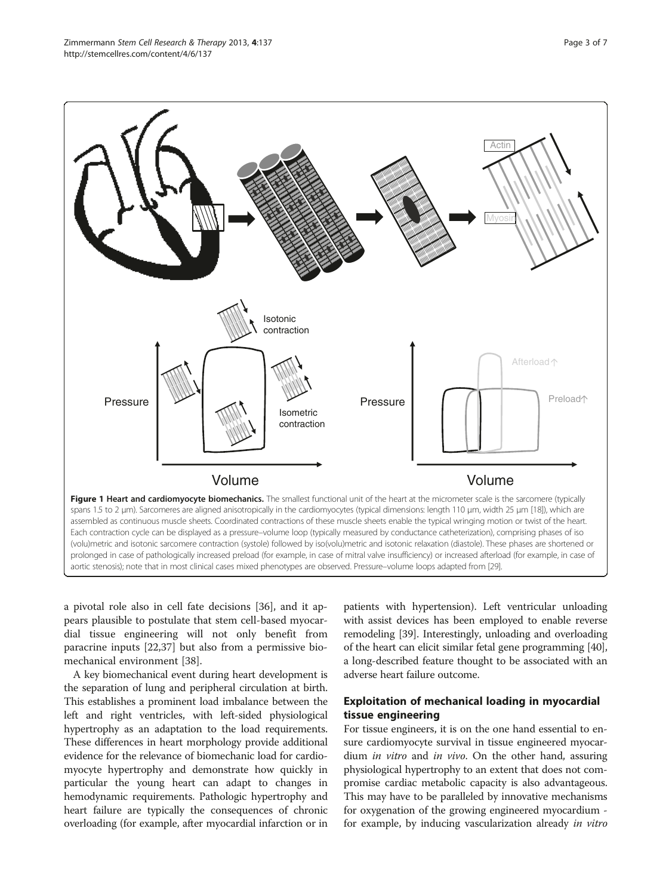<span id="page-2-0"></span>

a pivotal role also in cell fate decisions [\[36](#page-6-0)], and it appears plausible to postulate that stem cell-based myocardial tissue engineering will not only benefit from paracrine inputs [[22,37\]](#page-6-0) but also from a permissive biomechanical environment [\[38\]](#page-6-0).

A key biomechanical event during heart development is the separation of lung and peripheral circulation at birth. This establishes a prominent load imbalance between the left and right ventricles, with left-sided physiological hypertrophy as an adaptation to the load requirements. These differences in heart morphology provide additional evidence for the relevance of biomechanic load for cardiomyocyte hypertrophy and demonstrate how quickly in particular the young heart can adapt to changes in hemodynamic requirements. Pathologic hypertrophy and heart failure are typically the consequences of chronic overloading (for example, after myocardial infarction or in

patients with hypertension). Left ventricular unloading with assist devices has been employed to enable reverse remodeling [[39](#page-6-0)]. Interestingly, unloading and overloading of the heart can elicit similar fetal gene programming [[40](#page-6-0)], a long-described feature thought to be associated with an adverse heart failure outcome.

## Exploitation of mechanical loading in myocardial tissue engineering

For tissue engineers, it is on the one hand essential to ensure cardiomyocyte survival in tissue engineered myocardium in vitro and in vivo. On the other hand, assuring physiological hypertrophy to an extent that does not compromise cardiac metabolic capacity is also advantageous. This may have to be paralleled by innovative mechanisms for oxygenation of the growing engineered myocardium for example, by inducing vascularization already in vitro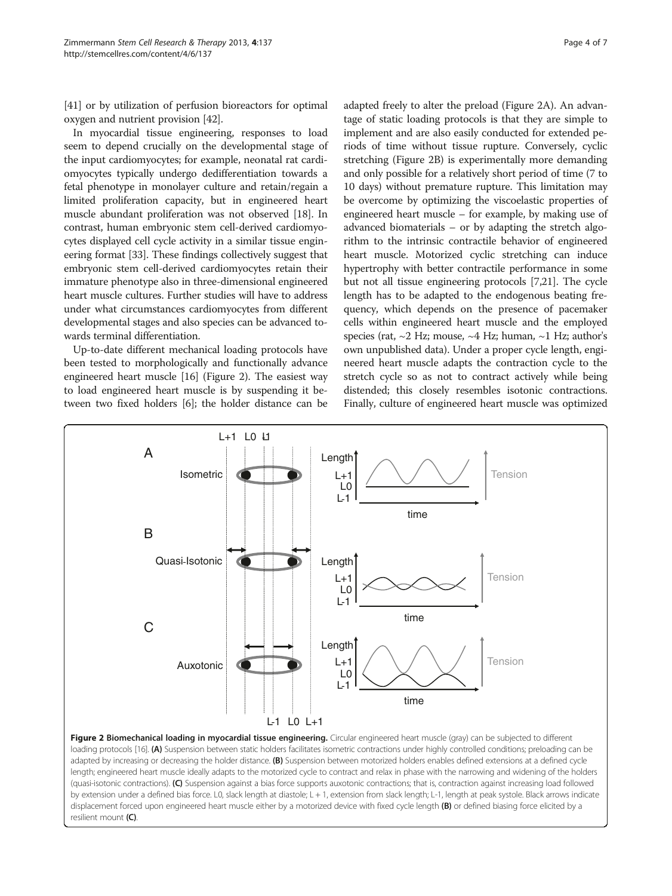<span id="page-3-0"></span>[[41](#page-6-0)] or by utilization of perfusion bioreactors for optimal oxygen and nutrient provision [\[42\]](#page-6-0).

In myocardial tissue engineering, responses to load seem to depend crucially on the developmental stage of the input cardiomyocytes; for example, neonatal rat cardiomyocytes typically undergo dedifferentiation towards a fetal phenotype in monolayer culture and retain/regain a limited proliferation capacity, but in engineered heart muscle abundant proliferation was not observed [\[18\]](#page-5-0). In contrast, human embryonic stem cell-derived cardiomyocytes displayed cell cycle activity in a similar tissue engineering format [\[33\]](#page-6-0). These findings collectively suggest that embryonic stem cell-derived cardiomyocytes retain their immature phenotype also in three-dimensional engineered heart muscle cultures. Further studies will have to address under what circumstances cardiomyocytes from different developmental stages and also species can be advanced towards terminal differentiation.

Up-to-date different mechanical loading protocols have been tested to morphologically and functionally advance engineered heart muscle [\[16](#page-5-0)] (Figure 2). The easiest way to load engineered heart muscle is by suspending it between two fixed holders [[6](#page-5-0)]; the holder distance can be

adapted freely to alter the preload (Figure 2A). An advantage of static loading protocols is that they are simple to implement and are also easily conducted for extended periods of time without tissue rupture. Conversely, cyclic stretching (Figure 2B) is experimentally more demanding and only possible for a relatively short period of time (7 to 10 days) without premature rupture. This limitation may be overcome by optimizing the viscoelastic properties of engineered heart muscle – for example, by making use of advanced biomaterials – or by adapting the stretch algorithm to the intrinsic contractile behavior of engineered heart muscle. Motorized cyclic stretching can induce hypertrophy with better contractile performance in some but not all tissue engineering protocols [\[7](#page-5-0)[,21\]](#page-6-0). The cycle length has to be adapted to the endogenous beating frequency, which depends on the presence of pacemaker cells within engineered heart muscle and the employed species (rat,  $\sim$ 2 Hz; mouse,  $\sim$ 4 Hz; human,  $\sim$ 1 Hz; author's own unpublished data). Under a proper cycle length, engineered heart muscle adapts the contraction cycle to the

stretch cycle so as not to contract actively while being distended; this closely resembles isotonic contractions. Finally, culture of engineered heart muscle was optimized

**Length** time **Length** time Tension Tension  $\overline{1}$   $\overline{0}$ L0  $L+1$ **Length** time Tension L0  $L+1$  $L-1$  $L<sub>1</sub>$  $L+1$  $L - 1$ L+1 L0 L1  $L-1$   $L0$   $L+1$ Isometric Quasi-Isotonic Auxotonic A B C

Figure 2 Biomechanical loading in myocardial tissue engineering. Circular engineered heart muscle (gray) can be subjected to different loading protocols [\[16\]](#page-5-0). (A) Suspension between static holders facilitates isometric contractions under highly controlled conditions; preloading can be adapted by increasing or decreasing the holder distance. (B) Suspension between motorized holders enables defined extensions at a defined cycle length; engineered heart muscle ideally adapts to the motorized cycle to contract and relax in phase with the narrowing and widening of the holders (quasi-isotonic contractions). (C) Suspension against a bias force supports auxotonic contractions; that is, contraction against increasing load followed by extension under a defined bias force. L0, slack length at diastole; L + 1, extension from slack length; L-1, length at peak systole. Black arrows indicate displacement forced upon engineered heart muscle either by a motorized device with fixed cycle length (B) or defined biasing force elicited by a resilient mount (C).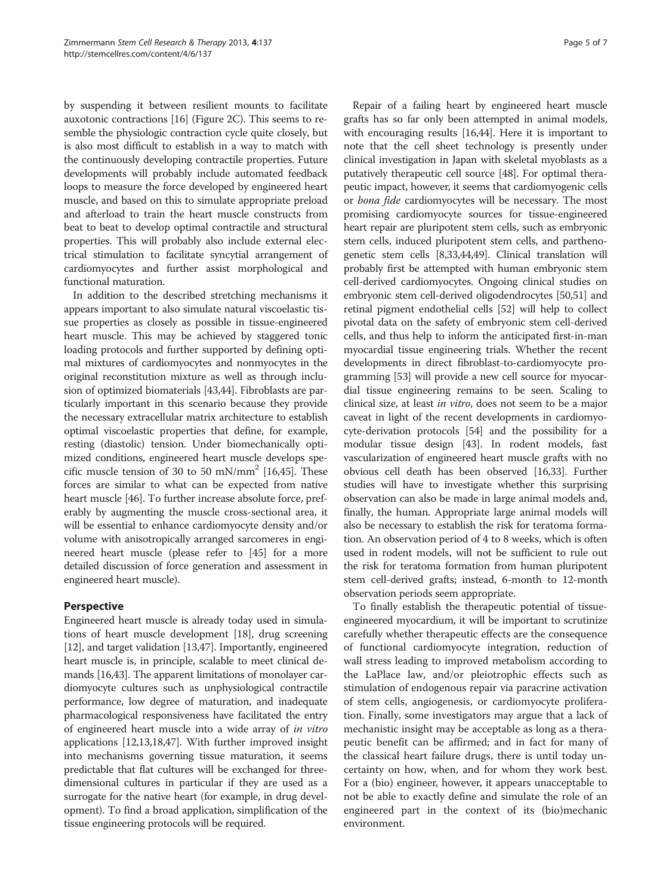by suspending it between resilient mounts to facilitate auxotonic contractions [\[16](#page-5-0)] (Figure [2](#page-3-0)C). This seems to resemble the physiologic contraction cycle quite closely, but is also most difficult to establish in a way to match with the continuously developing contractile properties. Future developments will probably include automated feedback loops to measure the force developed by engineered heart muscle, and based on this to simulate appropriate preload and afterload to train the heart muscle constructs from beat to beat to develop optimal contractile and structural properties. This will probably also include external electrical stimulation to facilitate syncytial arrangement of cardiomyocytes and further assist morphological and functional maturation.

In addition to the described stretching mechanisms it appears important to also simulate natural viscoelastic tissue properties as closely as possible in tissue-engineered heart muscle. This may be achieved by staggered tonic loading protocols and further supported by defining optimal mixtures of cardiomyocytes and nonmyocytes in the original reconstitution mixture as well as through inclusion of optimized biomaterials [[43,44](#page-6-0)]. Fibroblasts are particularly important in this scenario because they provide the necessary extracellular matrix architecture to establish optimal viscoelastic properties that define, for example, resting (diastolic) tension. Under biomechanically optimized conditions, engineered heart muscle develops spe-cific muscle tension of 30 to 50 mN/mm<sup>2</sup> [\[16](#page-5-0)[,45\]](#page-6-0). These forces are similar to what can be expected from native heart muscle [[46](#page-6-0)]. To further increase absolute force, preferably by augmenting the muscle cross-sectional area, it will be essential to enhance cardiomyocyte density and/or volume with anisotropically arranged sarcomeres in engineered heart muscle (please refer to [[45](#page-6-0)] for a more detailed discussion of force generation and assessment in engineered heart muscle).

## Perspective

Engineered heart muscle is already today used in simulations of heart muscle development [\[18\]](#page-5-0), drug screening [[12](#page-5-0)], and target validation [\[13,](#page-5-0)[47\]](#page-6-0). Importantly, engineered heart muscle is, in principle, scalable to meet clinical demands [\[16,](#page-5-0)[43](#page-6-0)]. The apparent limitations of monolayer cardiomyocyte cultures such as unphysiological contractile performance, low degree of maturation, and inadequate pharmacological responsiveness have facilitated the entry of engineered heart muscle into a wide array of in vitro applications [\[12,13,18](#page-5-0)[,47](#page-6-0)]. With further improved insight into mechanisms governing tissue maturation, it seems predictable that flat cultures will be exchanged for threedimensional cultures in particular if they are used as a surrogate for the native heart (for example, in drug development). To find a broad application, simplification of the tissue engineering protocols will be required.

Repair of a failing heart by engineered heart muscle grafts has so far only been attempted in animal models, with encouraging results [[16](#page-5-0)[,44\]](#page-6-0). Here it is important to note that the cell sheet technology is presently under clinical investigation in Japan with skeletal myoblasts as a putatively therapeutic cell source [\[48\]](#page-6-0). For optimal therapeutic impact, however, it seems that cardiomyogenic cells or bona fide cardiomyocytes will be necessary. The most promising cardiomyocyte sources for tissue-engineered heart repair are pluripotent stem cells, such as embryonic stem cells, induced pluripotent stem cells, and parthenogenetic stem cells [\[8](#page-5-0)[,33,44,49](#page-6-0)]. Clinical translation will probably first be attempted with human embryonic stem cell-derived cardiomyocytes. Ongoing clinical studies on embryonic stem cell-derived oligodendrocytes [\[50,51](#page-6-0)] and retinal pigment endothelial cells [\[52\]](#page-6-0) will help to collect pivotal data on the safety of embryonic stem cell-derived cells, and thus help to inform the anticipated first-in-man myocardial tissue engineering trials. Whether the recent developments in direct fibroblast-to-cardiomyocyte programming [\[53\]](#page-6-0) will provide a new cell source for myocardial tissue engineering remains to be seen. Scaling to clinical size, at least in vitro, does not seem to be a major caveat in light of the recent developments in cardiomyocyte-derivation protocols [[54](#page-6-0)] and the possibility for a modular tissue design [[43](#page-6-0)]. In rodent models, fast vascularization of engineered heart muscle grafts with no obvious cell death has been observed [\[16](#page-5-0)[,33\]](#page-6-0). Further studies will have to investigate whether this surprising observation can also be made in large animal models and, finally, the human. Appropriate large animal models will also be necessary to establish the risk for teratoma formation. An observation period of 4 to 8 weeks, which is often used in rodent models, will not be sufficient to rule out the risk for teratoma formation from human pluripotent stem cell-derived grafts; instead, 6-month to 12-month observation periods seem appropriate.

To finally establish the therapeutic potential of tissueengineered myocardium, it will be important to scrutinize carefully whether therapeutic effects are the consequence of functional cardiomyocyte integration, reduction of wall stress leading to improved metabolism according to the LaPlace law, and/or pleiotrophic effects such as stimulation of endogenous repair via paracrine activation of stem cells, angiogenesis, or cardiomyocyte proliferation. Finally, some investigators may argue that a lack of mechanistic insight may be acceptable as long as a therapeutic benefit can be affirmed; and in fact for many of the classical heart failure drugs, there is until today uncertainty on how, when, and for whom they work best. For a (bio) engineer, however, it appears unacceptable to not be able to exactly define and simulate the role of an engineered part in the context of its (bio)mechanic environment.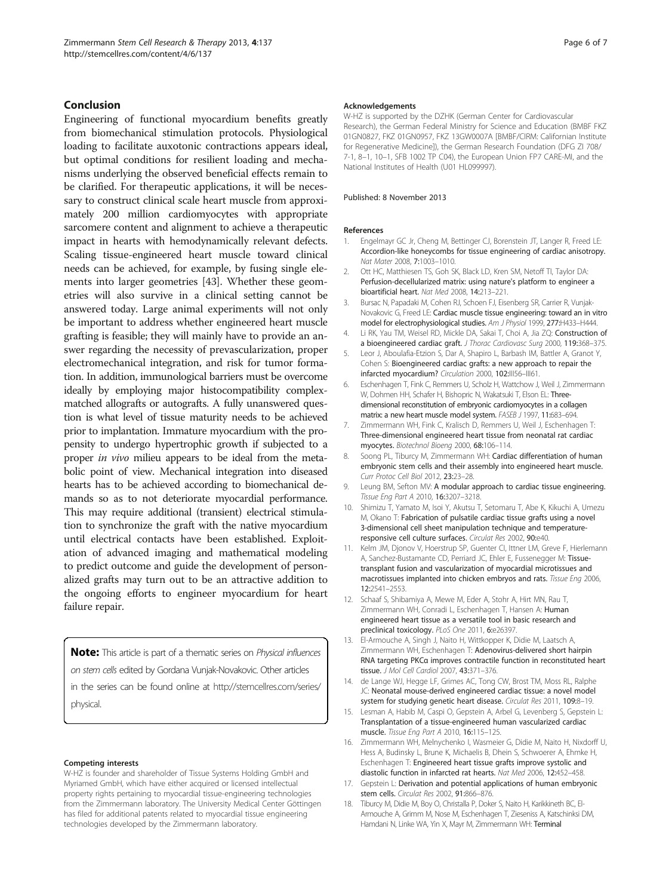#### <span id="page-5-0"></span>Conclusion

Engineering of functional myocardium benefits greatly from biomechanical stimulation protocols. Physiological loading to facilitate auxotonic contractions appears ideal, but optimal conditions for resilient loading and mechanisms underlying the observed beneficial effects remain to be clarified. For therapeutic applications, it will be necessary to construct clinical scale heart muscle from approximately 200 million cardiomyocytes with appropriate sarcomere content and alignment to achieve a therapeutic impact in hearts with hemodynamically relevant defects. Scaling tissue-engineered heart muscle toward clinical needs can be achieved, for example, by fusing single elements into larger geometries [\[43\]](#page-6-0). Whether these geometries will also survive in a clinical setting cannot be answered today. Large animal experiments will not only be important to address whether engineered heart muscle grafting is feasible; they will mainly have to provide an answer regarding the necessity of prevascularization, proper electromechanical integration, and risk for tumor formation. In addition, immunological barriers must be overcome ideally by employing major histocompatibility complexmatched allografts or autografts. A fully unanswered question is what level of tissue maturity needs to be achieved prior to implantation. Immature myocardium with the propensity to undergo hypertrophic growth if subjected to a proper in vivo milieu appears to be ideal from the metabolic point of view. Mechanical integration into diseased hearts has to be achieved according to biomechanical demands so as to not deteriorate myocardial performance. This may require additional (transient) electrical stimulation to synchronize the graft with the native myocardium until electrical contacts have been established. Exploitation of advanced imaging and mathematical modeling to predict outcome and guide the development of personalized grafts may turn out to be an attractive addition to the ongoing efforts to engineer myocardium for heart failure repair.

Note: This article is part of a thematic series on Physical influences

on stem cells edited by Gordana Vunjak-Novakovic. Other articles

in the series can be found online at http://stemcellres.com/series/ physical.

#### Competing interests

W-HZ is founder and shareholder of Tissue Systems Holding GmbH and Myriamed GmbH, which have either acquired or licensed intellectual property rights pertaining to myocardial tissue-engineering technologies from the Zimmermann laboratory. The University Medical Center Göttingen has filed for additional patents related to myocardial tissue engineering technologies developed by the Zimmermann laboratory.

#### Acknowledgements

W-HZ is supported by the DZHK (German Center for Cardiovascular Research), the German Federal Ministry for Science and Education (BMBF FKZ 01GN0827, FKZ 01GN0957, FKZ 13GW0007A [BMBF/CIRM: Californian Institute for Regenerative Medicine]), the German Research Foundation (DFG ZI 708/ 7-1, 8–1, 10–1, SFB 1002 TP C04), the European Union FP7 CARE-MI, and the National Institutes of Health (U01 HL099997).

#### Published: 8 November 2013

#### References

- 1. Engelmayr GC Jr, Cheng M, Bettinger CJ, Borenstein JT, Langer R, Freed LE: Accordion-like honeycombs for tissue engineering of cardiac anisotropy. Nat Mater 2008, 7:1003–1010.
- 2. Ott HC, Matthiesen TS, Goh SK, Black LD, Kren SM, Netoff TI, Taylor DA: Perfusion-decellularized matrix: using nature's platform to engineer a bioartificial heart. Nat Med 2008, 14:213–221.
- 3. Bursac N, Papadaki M, Cohen RJ, Schoen FJ, Eisenberg SR, Carrier R, Vunjak-Novakovic G, Freed LE: Cardiac muscle tissue engineering: toward an in vitro model for electrophysiological studies. Am J Physiol 1999, 277: H433-H444.
- 4. Li RK, Yau TM, Weisel RD, Mickle DA, Sakai T, Choi A, Jia ZQ: Construction of a bioengineered cardiac graft. J Thorac Cardiovasc Surg 2000, 119:368-375.
- 5. Leor J, Aboulafia-Etzion S, Dar A, Shapiro L, Barbash IM, Battler A, Granot Y, Cohen S: Bioengineered cardiac grafts: a new approach to repair the infarcted myocardium? Circulation 2000, 102:III56-III61.
- 6. Eschenhagen T, Fink C, Remmers U, Scholz H, Wattchow J, Weil J, Zimmermann W, Dohmen HH, Schafer H, Bishopric N, Wakatsuki T, Elson EL: Threedimensional reconstitution of embryonic cardiomyocytes in a collagen matrix: a new heart muscle model system. FASEB J 1997, 11:683–694.
- 7. Zimmermann WH, Fink C, Kralisch D, Remmers U, Weil J, Eschenhagen T: Three-dimensional engineered heart tissue from neonatal rat cardiac myocytes. Biotechnol Bioeng 2000, 68:106–114.
- 8. Soong PL, Tiburcy M, Zimmermann WH: Cardiac differentiation of human embryonic stem cells and their assembly into engineered heart muscle. Curr Protoc Cell Biol 2012, 23:23–28.
- 9. Leung BM, Sefton MV: A modular approach to cardiac tissue engineering. Tissue Eng Part A 2010, 16:3207–3218.
- 10. Shimizu T, Yamato M, Isoi Y, Akutsu T, Setomaru T, Abe K, Kikuchi A, Umezu M, Okano T: Fabrication of pulsatile cardiac tissue grafts using a novel 3-dimensional cell sheet manipulation technique and temperatureresponsive cell culture surfaces. Circulat Res 2002, 90:e40.
- 11. Kelm JM, Djonov V, Hoerstrup SP, Guenter CI, Ittner LM, Greve F, Hierlemann A, Sanchez-Bustamante CD, Perriard JC, Ehler E, Fussenegger M: Tissuetransplant fusion and vascularization of myocardial microtissues and macrotissues implanted into chicken embryos and rats. Tissue Eng 2006, 12:2541–2553.
- 12. Schaaf S, Shibamiya A, Mewe M, Eder A, Stohr A, Hirt MN, Rau T, Zimmermann WH, Conradi L, Eschenhagen T, Hansen A: Human engineered heart tissue as a versatile tool in basic research and preclinical toxicology. PLoS One 2011, 6:e26397.
- 13. El-Armouche A, Singh J, Naito H, Wittkopper K, Didie M, Laatsch A, Zimmermann WH, Eschenhagen T: Adenovirus-delivered short hairpin RNA targeting PKCα improves contractile function in reconstituted heart tissue. J Mol Cell Cardiol 2007, 43:371–376.
- 14. de Lange WJ, Hegge LF, Grimes AC, Tong CW, Brost TM, Moss RL, Ralphe JC: Neonatal mouse-derived engineered cardiac tissue: a novel model system for studying genetic heart disease. Circulat Res 2011, 109:8-19.
- 15. Lesman A, Habib M, Caspi O, Gepstein A, Arbel G, Levenberg S, Gepstein L: Transplantation of a tissue-engineered human vascularized cardiac muscle. Tissue Eng Part A 2010, 16:115–125.
- 16. Zimmermann WH, Melnychenko I, Wasmeier G, Didie M, Naito H, Nixdorff U, Hess A, Budinsky L, Brune K, Michaelis B, Dhein S, Schwoerer A, Ehmke H, Eschenhagen T: Engineered heart tissue grafts improve systolic and diastolic function in infarcted rat hearts. Nat Med 2006, 12:452–458.
- 17. Gepstein L: Derivation and potential applications of human embryonic stem cells. Circulat Res 2002, 91:866–876.
- 18. Tiburcy M, Didie M, Boy O, Christalla P, Doker S, Naito H, Karikkineth BC, El-Armouche A, Grimm M, Nose M, Eschenhagen T, Zieseniss A, Katschinksi DM, Hamdani N, Linke WA, Yin X, Mayr M, Zimmermann WH: Terminal